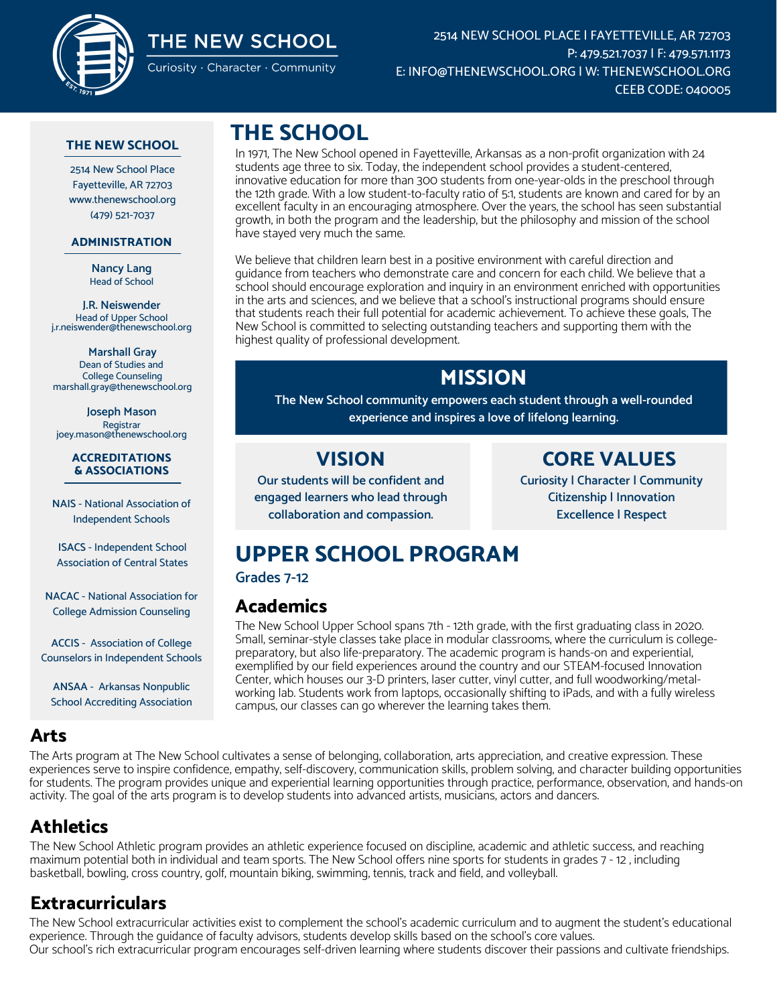

# THE NEW SCHOOL

Curiosity · Character · Community

#### 2514 NEW SCHOOL PLACE | FAYETTEVILLE, AR 72703 P: 479.521.7037 | F: 479.571.1173 E: INFO@THENEWSCHOOL.ORG | W: THENEWSCHOOL.ORG CEEB CODE: 040005

#### **THE NEW SCHOOL**

2514 New School Place Fayetteville, AR 72703 www.thenewschool.org (479) 521-7037

#### **ADMINISTRATION**

**Nancy Lang** Head of School

**J.R. Neiswender** Head of Upper School j.r.neiswender@thenewschool.org

**Marshall Gray** Dean of Studies and College Counseling marshall.gray@thenewschool.org

**Joseph Mason** Registrar joey.mason@thenewschool.org

#### **ACCREDITATIONS & ASSOCIATIONS**

**NAIS** - National Association of Independent Schools

**ISACS** - Independent School Association of Central States

**NACAC** - National Association for College Admission Counseling

**ACCIS** - Association of College Counselors in Independent Schools

**ANSAA** - Arkansas Nonpublic School Accrediting Association

# **THE SCHOOL**

In 1971, The New School opened in Fayetteville, Arkansas as a non-profit organization with 24 students age three to six. Today, the independent school provides a student-centered, innovative education for more than 300 students from one-year-olds in the preschool through the 12th grade. With a low student-to-faculty ratio of 5:1, students are known and cared for by an excellent faculty in an encouraging atmosphere. Over the years, the school has seen substantial growth, in both the program and the leadership, but the philosophy and mission of the school have stayed very much the same.

We believe that children learn best in a positive environment with careful direction and guidance from teachers who demonstrate care and concern for each child. We believe that a school should encourage exploration and inquiry in an environment enriched with opportunities in the arts and sciences, and we believe that a school's instructional programs should ensure that students reach their full potential for academic achievement. To achieve these goals, The New School is committed to selecting outstanding teachers and supporting them with the highest quality of professional development.

## **MISSION**

**The New School community empowers each student through a well-rounded experience and inspires a love of lifelong learning.**

**Our students will be confident and engaged learners who lead through collaboration and compassion.**

### **VISION CORE VALUES**

**Curiosity | Character | Community Citizenship | Innovation Excellence | Respect**

# **UPPER SCHOOL PROGRAM**

#### **Grades 7-12**

### **Academics**

The New School Upper School spans 7th - 12th grade, with the first graduating class in 2020. Small, seminar-style classes take place in modular classrooms, where the curriculum is collegepreparatory, but also life-preparatory. The academic program is hands-on and experiential, exemplified by our field experiences around the country and our STEAM-focused Innovation Center, which houses our 3-D printers, laser cutter, vinyl cutter, and full woodworking/metalworking lab. Students work from laptops, occasionally shifting to iPads, and with a fully wireless campus, our classes can go wherever the learning takes them.

### **Arts**

The Arts program at The New School cultivates a sense of belonging, collaboration, arts appreciation, and creative expression. These experiences serve to inspire confidence, empathy, self-discovery, communication skills, problem solving, and character building opportunities for students. The program provides unique and experiential learning opportunities through practice, performance, observation, and hands-on activity. The goal of the arts program is to develop students into advanced artists, musicians, actors and dancers.

### **Athletics**

The New School Athletic program provides an athletic experience focused on discipline, academic and athletic success, and reaching maximum potential both in individual and team sports. The New School offers nine sports for students in grades 7 - 12 , including basketball, bowling, cross country, golf, mountain biking, swimming, tennis, track and field, and volleyball.

### **Extracurriculars**

The New School extracurricular activities exist to complement the school's academic curriculum and to augment the student's educational experience. Through the guidance of faculty advisors, students develop skills based on the school's core values. Our school's rich extracurricular program encourages self-driven learning where students discover their passions and cultivate friendships.